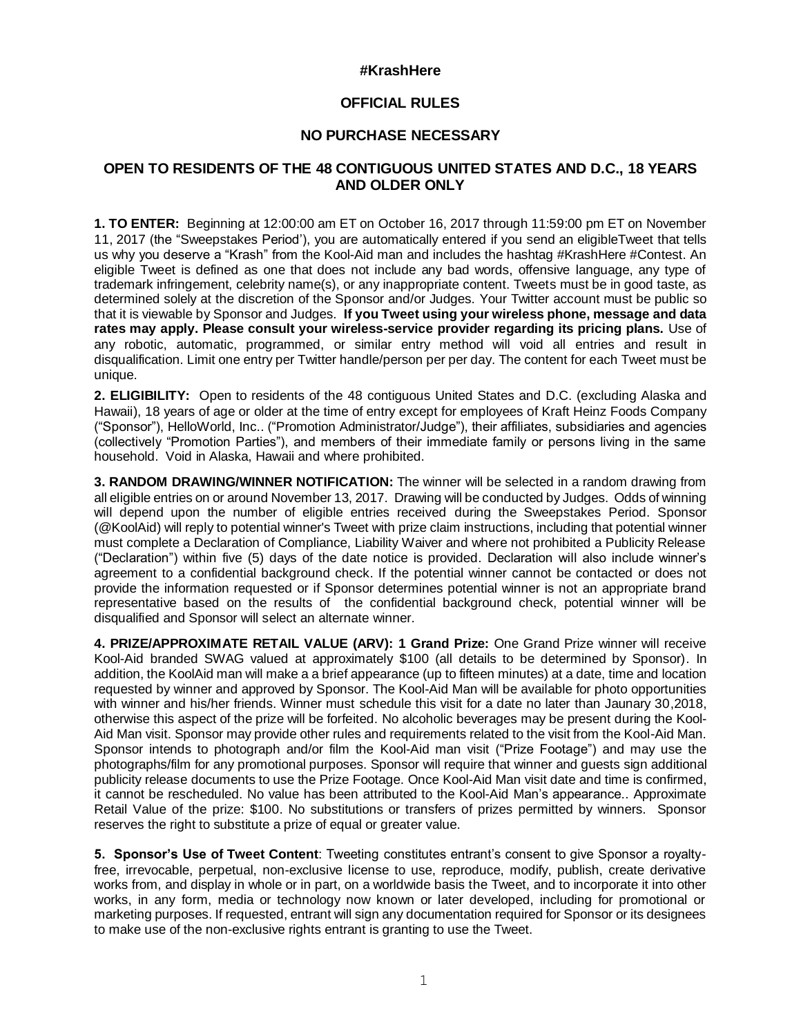## **#KrashHere**

## **OFFICIAL RULES**

## **NO PURCHASE NECESSARY**

## **OPEN TO RESIDENTS OF THE 48 CONTIGUOUS UNITED STATES AND D.C., 18 YEARS AND OLDER ONLY**

**1. TO ENTER:** Beginning at 12:00:00 am ET on October 16, 2017 through 11:59:00 pm ET on November 11, 2017 (the "Sweepstakes Period'), you are automatically entered if you send an eligibleTweet that tells us why you deserve a "Krash" from the Kool-Aid man and includes the hashtag #KrashHere #Contest. An eligible Tweet is defined as one that does not include any bad words, offensive language, any type of trademark infringement, celebrity name(s), or any inappropriate content. Tweets must be in good taste, as determined solely at the discretion of the Sponsor and/or Judges. Your Twitter account must be public so that it is viewable by Sponsor and Judges. **If you Tweet using your wireless phone, message and data rates may apply. Please consult your wireless-service provider regarding its pricing plans.** Use of any robotic, automatic, programmed, or similar entry method will void all entries and result in disqualification. Limit one entry per Twitter handle/person per per day. The content for each Tweet must be unique.

**2. ELIGIBILITY:** Open to residents of the 48 contiguous United States and D.C. (excluding Alaska and Hawaii), 18 years of age or older at the time of entry except for employees of Kraft Heinz Foods Company ("Sponsor"), HelloWorld, Inc.. ("Promotion Administrator/Judge"), their affiliates, subsidiaries and agencies (collectively "Promotion Parties"), and members of their immediate family or persons living in the same household. Void in Alaska, Hawaii and where prohibited.

**3. RANDOM DRAWING/WINNER NOTIFICATION:** The winner will be selected in a random drawing from all eligible entries on or around November 13, 2017. Drawing will be conducted by Judges. Odds of winning will depend upon the number of eligible entries received during the Sweepstakes Period. Sponsor (@KoolAid) will reply to potential winner's Tweet with prize claim instructions, including that potential winner must complete a Declaration of Compliance, Liability Waiver and where not prohibited a Publicity Release ("Declaration") within five (5) days of the date notice is provided. Declaration will also include winner's agreement to a confidential background check. If the potential winner cannot be contacted or does not provide the information requested or if Sponsor determines potential winner is not an appropriate brand representative based on the results of the confidential background check, potential winner will be disqualified and Sponsor will select an alternate winner.

**4. PRIZE/APPROXIMATE RETAIL VALUE (ARV): 1 Grand Prize:** One Grand Prize winner will receive Kool-Aid branded SWAG valued at approximately \$100 (all details to be determined by Sponsor). In addition, the KoolAid man will make a a brief appearance (up to fifteen minutes) at a date, time and location requested by winner and approved by Sponsor. The Kool-Aid Man will be available for photo opportunities with winner and his/her friends. Winner must schedule this visit for a date no later than Jaunary 30,2018, otherwise this aspect of the prize will be forfeited. No alcoholic beverages may be present during the Kool-Aid Man visit. Sponsor may provide other rules and requirements related to the visit from the Kool-Aid Man. Sponsor intends to photograph and/or film the Kool-Aid man visit ("Prize Footage") and may use the photographs/film for any promotional purposes. Sponsor will require that winner and guests sign additional publicity release documents to use the Prize Footage. Once Kool-Aid Man visit date and time is confirmed, it cannot be rescheduled. No value has been attributed to the Kool-Aid Man's appearance.. Approximate Retail Value of the prize: \$100. No substitutions or transfers of prizes permitted by winners. Sponsor reserves the right to substitute a prize of equal or greater value.

**5. Sponsor's Use of Tweet Content**: Tweeting constitutes entrant's consent to give Sponsor a royaltyfree, irrevocable, perpetual, non-exclusive license to use, reproduce, modify, publish, create derivative works from, and display in whole or in part, on a worldwide basis the Tweet, and to incorporate it into other works, in any form, media or technology now known or later developed, including for promotional or marketing purposes. If requested, entrant will sign any documentation required for Sponsor or its designees to make use of the non-exclusive rights entrant is granting to use the Tweet.